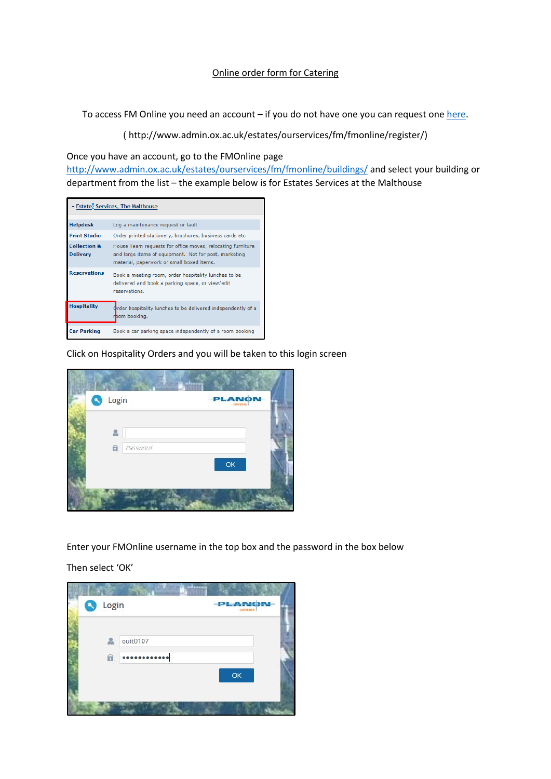## Online order form for Catering

To access FM Online you need an account  $-$  if you do not have one you can request one [here.](http://www.admin.ox.ac.uk/estates/ourservices/fm/fmonline/register/)

( http://www.admin.ox.ac.uk/estates/ourservices/fm/fmonline/register/)

Once you have an account, go to the FMOnline page

<http://www.admin.ox.ac.uk/estates/ourservices/fm/fmonline/buildings/> and select your building or department from the list – the example below is for Estates Services at the Malthouse

|                                            | v Estates Services, The Malthouse                                                                                                                                |
|--------------------------------------------|------------------------------------------------------------------------------------------------------------------------------------------------------------------|
| <b>Helpdesk</b>                            | Log a maintenance request or fault                                                                                                                               |
| <b>Print Studio</b>                        | Order printed stationery, brochures, business cards etc.                                                                                                         |
| <b>Collection &amp;</b><br><b>Delivery</b> | House Team requests for office moves, relocating furniture<br>and large items of equipment. Not for post, marketing<br>material, paperwork or small boxed items. |
| <b>Reservations</b>                        | Book a meeting room, order hospitality lunches to be<br>delivered and book a parking space, or view/edit<br>reservations.                                        |
| <b>Hospitality</b>                         | Trder hospitality lunches to be delivered independently of a<br>bom booking.                                                                                     |
| <b>Car Parking</b>                         | Book a car parking space independently of a room booking                                                                                                         |

Click on Hospitality Orders and you will be taken to this login screen



Enter your FMOnline username in the top box and the password in the box below

Then select 'OK'

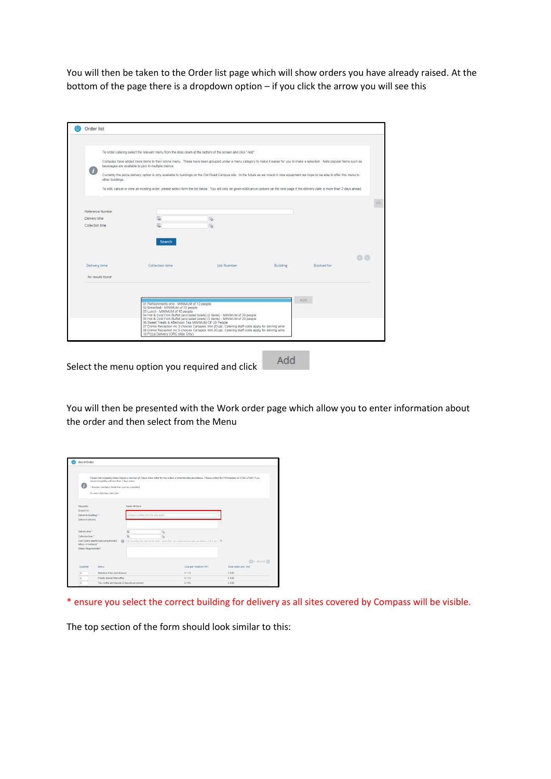You will then be taken to the Order list page which will show orders you have already raised. At the bottom of the page there is a dropdown option – if you click the arrow you will see this

|                         |                                                                                                                               | To order catering select the relevant menu from the drop down at the bottom of the screen and click "Add".                                                                                                                                                                                                                                                            |                 |                   |  |
|-------------------------|-------------------------------------------------------------------------------------------------------------------------------|-----------------------------------------------------------------------------------------------------------------------------------------------------------------------------------------------------------------------------------------------------------------------------------------------------------------------------------------------------------------------|-----------------|-------------------|--|
|                         | beverages are available to pick in multiple menus.                                                                            | Compass have added more items to their online menu. These have been grouped under a menu category to make it easier for you to make a selection. Note popular items such as                                                                                                                                                                                           |                 |                   |  |
| other buildings.        |                                                                                                                               | Currently the pizza delivery option is only available to buildings on the Old Road Campus site. In the future as we invest in new equipment we hope to be able to offer this menu to                                                                                                                                                                                  |                 |                   |  |
|                         |                                                                                                                               | To edit, cancel or view an existing order, please select form the list below. You will only be given edit/cancel options on the next page if the delivery date is more than 2 days ahead.                                                                                                                                                                             |                 |                   |  |
|                         |                                                                                                                               |                                                                                                                                                                                                                                                                                                                                                                       |                 |                   |  |
| <b>Reference Number</b> |                                                                                                                               |                                                                                                                                                                                                                                                                                                                                                                       |                 |                   |  |
| Delivery time           | 胆                                                                                                                             | fo)                                                                                                                                                                                                                                                                                                                                                                   |                 |                   |  |
| Collection time         | 田                                                                                                                             | ib.                                                                                                                                                                                                                                                                                                                                                                   |                 |                   |  |
| Delivery time           | <b>Collection time</b>                                                                                                        | Job Number                                                                                                                                                                                                                                                                                                                                                            | <b>Building</b> | <b>Booked for</b> |  |
| No results found        |                                                                                                                               |                                                                                                                                                                                                                                                                                                                                                                       |                 |                   |  |
|                         | 01 Refreshments only - MINIMUM of 10 people<br>02 Breakfast - MINIMUM of 10 people                                            |                                                                                                                                                                                                                                                                                                                                                                       |                 | Add               |  |
|                         | 03 Lunch - MINIMUM of 10 people<br>06 Sweet Treats & Afternoon Tea MINIMUM OF 20 People<br>10 Pizza Delivery (ORC sites Only) | 04 Hot & Cold Fork Buffet (and salad bowls) (2 items) - MINIMUM of 20 people<br>05 Hot & Cold Fork Buffet (and salad bowls) (3 items) - MINIMUM of 20 people<br>07 Drinks Reception inc 3 choices Canapes. Min 20 ppl. Catering staff costs apply for serving wine 08 Drinks Reception inc 5 choices Canapes. Min 20 ppl. Catering staff costs apply for serving wine |                 |                   |  |

Select the menu option you required and click **Add** 

You will then be presented with the Work order page which allow you to enter information about the order and then select from the Menu

| ദ                                                                   | require hospitality with less than 2 days notice.<br>* Denotes mandatory fields that must be completed.<br>To view a full menu click here |                                       | Please note hospitality orders require a minimum of 2 days notice either for new orders or amendments/cancellations. Please contact the FM Helpdesk on 01955 270087 if you |                      |
|---------------------------------------------------------------------|-------------------------------------------------------------------------------------------------------------------------------------------|---------------------------------------|----------------------------------------------------------------------------------------------------------------------------------------------------------------------------|----------------------|
|                                                                     |                                                                                                                                           |                                       |                                                                                                                                                                            |                      |
| Requester                                                           |                                                                                                                                           | Karen McGlynn                         |                                                                                                                                                                            |                      |
| Booked for                                                          |                                                                                                                                           |                                       |                                                                                                                                                                            |                      |
| Deliver to (building): *<br>Deliver to (Room)                       |                                                                                                                                           | Choose a building from the drop down. |                                                                                                                                                                            |                      |
|                                                                     |                                                                                                                                           |                                       |                                                                                                                                                                            |                      |
| Delivery time *                                                     |                                                                                                                                           | 腽<br>16                               |                                                                                                                                                                            |                      |
| Collection time. <sup>*</sup>                                       |                                                                                                                                           | 巴<br>a                                |                                                                                                                                                                            |                      |
| Cost Centre (start to type using format 2)<br>letters, 4 numbers) * | $\sqrt{2}$                                                                                                                                |                                       | By providing this cost centre code I agree that I am authorised to make purchases on this acc (3)                                                                          |                      |
| Dietary Requirements?                                               |                                                                                                                                           |                                       |                                                                                                                                                                            |                      |
|                                                                     |                                                                                                                                           |                                       |                                                                                                                                                                            | $1 - 46$ of 46       |
| Quantity<br>Menu                                                    |                                                                                                                                           |                                       | Cost per head inc VAT                                                                                                                                                      | Total costs evol MAT |
| ø                                                                   | Selection of tea and infusions                                                                                                            |                                       | £1.15                                                                                                                                                                      | £0.00                |
|                                                                     | Freshiv brewed filter coffee                                                                                                              |                                       | € 1.16                                                                                                                                                                     | £8.00                |
| $\circ$                                                             |                                                                                                                                           |                                       |                                                                                                                                                                            |                      |

\* ensure you select the correct building for delivery as all sites covered by Compass will be visible.

The top section of the form should look similar to this: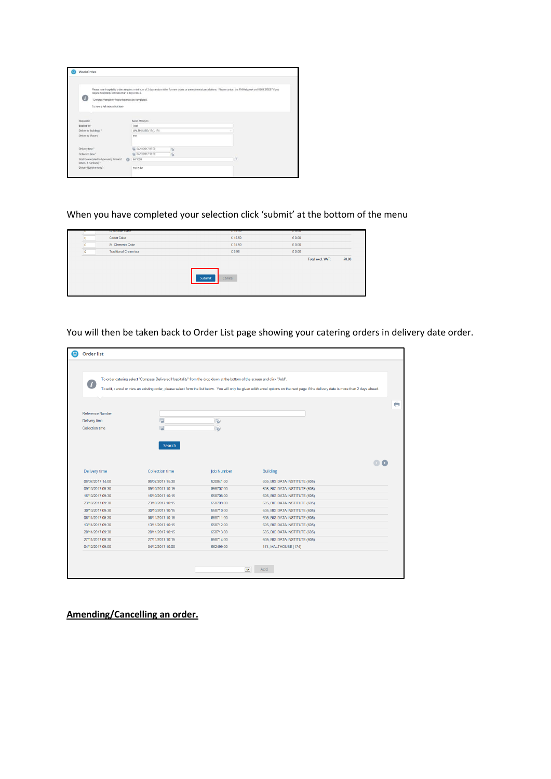| 67                                                                 | Please note hospitality orders require a minimum of 2 days notice either for new orders or amendments/cancellations. Please contact the FM Helpdesk on 01865 270087 if you<br>require hospitality with less than 2 days notice.<br>* Denotes mandatory fields that must be completed. |      |                   |  |  |
|--------------------------------------------------------------------|---------------------------------------------------------------------------------------------------------------------------------------------------------------------------------------------------------------------------------------------------------------------------------------|------|-------------------|--|--|
| To view a full menu click here                                     |                                                                                                                                                                                                                                                                                       |      |                   |  |  |
|                                                                    |                                                                                                                                                                                                                                                                                       |      |                   |  |  |
| Requester                                                          | Karen McGiynn                                                                                                                                                                                                                                                                         |      |                   |  |  |
| Booked for                                                         | Test                                                                                                                                                                                                                                                                                  |      |                   |  |  |
| Deliver to (building): "                                           | MALTHOUSE (174), 174                                                                                                                                                                                                                                                                  |      |                   |  |  |
| Deliver to (Room)                                                  | test                                                                                                                                                                                                                                                                                  |      |                   |  |  |
| Delivery time *                                                    | 04/12/2017 09:00                                                                                                                                                                                                                                                                      | l'à  |                   |  |  |
| Collection time *                                                  | 04/12/2017 10:00                                                                                                                                                                                                                                                                      | lfo. |                   |  |  |
| Cost Centre (start to type using format 2<br>letters, 4 numbers) * | JW1000                                                                                                                                                                                                                                                                                |      | $\left( 2\right)$ |  |  |
| Dietary Requirements?                                              | test order                                                                                                                                                                                                                                                                            |      |                   |  |  |

When you have completed your selection click 'submit' at the bottom of the menu

| u                    | <b>Chocolate Cake</b>        | L 15.50          | LU.UU |                         |       |
|----------------------|------------------------------|------------------|-------|-------------------------|-------|
| $\overline{0}$<br>__ | Carrot Cake                  | £15.50           | £0.00 |                         |       |
| 0                    | St. Clements Cake            | £15.50           | £0.00 |                         |       |
| $\overline{0}$       | <b>Traditional Cream tea</b> | £8.95            | £0.00 |                         |       |
|                      |                              |                  |       | <b>Total excl. VAT:</b> | £0.00 |
|                      |                              | Submit<br>Cancel |       |                         |       |

You will then be taken back to Order List page showing your catering orders in delivery date order.

| - 7                    | To order catering select "Compass Delivered Hospitality" from the drop down at the bottom of the screen and click "Add". |                   | To edit, cancel or view an existing order, please select form the list below. You will only be given edit/cancel options on the next page if the delivery date is more than 2 days ahead. |  |
|------------------------|--------------------------------------------------------------------------------------------------------------------------|-------------------|-------------------------------------------------------------------------------------------------------------------------------------------------------------------------------------------|--|
|                        |                                                                                                                          |                   |                                                                                                                                                                                           |  |
| Reference Number       |                                                                                                                          |                   |                                                                                                                                                                                           |  |
| Delivery time          | 理                                                                                                                        | $\mathbf{G}$      |                                                                                                                                                                                           |  |
| <b>Collection time</b> | 腮                                                                                                                        | 屆                 |                                                                                                                                                                                           |  |
|                        |                                                                                                                          |                   |                                                                                                                                                                                           |  |
|                        | Search                                                                                                                   |                   |                                                                                                                                                                                           |  |
|                        |                                                                                                                          |                   |                                                                                                                                                                                           |  |
|                        |                                                                                                                          |                   |                                                                                                                                                                                           |  |
| Delivery time          | <b>Collection time</b>                                                                                                   | <b>Job Number</b> | <b>Building</b>                                                                                                                                                                           |  |
| 06/07/2017 14:00       | 06/07/2017 15:30                                                                                                         | 620841.00         | 605, BIG DATA INSTITUTE (605)                                                                                                                                                             |  |
| 09/10/2017 09:30       | 09/10/2017 10:15                                                                                                         | 658707.00         | 605, BIG DATA INSTITUTE (605)                                                                                                                                                             |  |
| 16/10/2017 09:30       | 16/10/2017 10:15                                                                                                         | 658708.00         | 605, BIG DATA INSTITUTE (605)                                                                                                                                                             |  |
| 23/10/2017 09:30       | 23/10/2017 10:15                                                                                                         | 658709.00         | 605, BIG DATA INSTITUTE (605)                                                                                                                                                             |  |
| 30/10/2017 09:30       | 30/10/2017 10:15                                                                                                         | 658710.00         | 605, BIG DATA INSTITUTE (605)                                                                                                                                                             |  |
| 06/11/2017 09:30       | 06/11/2017 10:15                                                                                                         | 658711.00         | 605, BIG DATA INSTITUTE (605)                                                                                                                                                             |  |
| 13/11/2017 09:30       | 13/11/2017 10:15                                                                                                         | 658712.00         | 605, BIG DATA INSTITUTE (605)                                                                                                                                                             |  |
| 20/11/2017 09:30       | 20/11/2017 10:15                                                                                                         | 658713.00         | 605, BIG DATA INSTITUTE (605)                                                                                                                                                             |  |
| 27/11/2017 09:30       | 27/11/2017 10:15                                                                                                         | 658714.00         | 605, BIG DATA INSTITUTE (605)                                                                                                                                                             |  |
| 04/12/2017 09:00       | 04/12/2017 10:00                                                                                                         | 662499.00         | 174, MALTHOUSE (174)                                                                                                                                                                      |  |

**Amending/Cancelling an order.**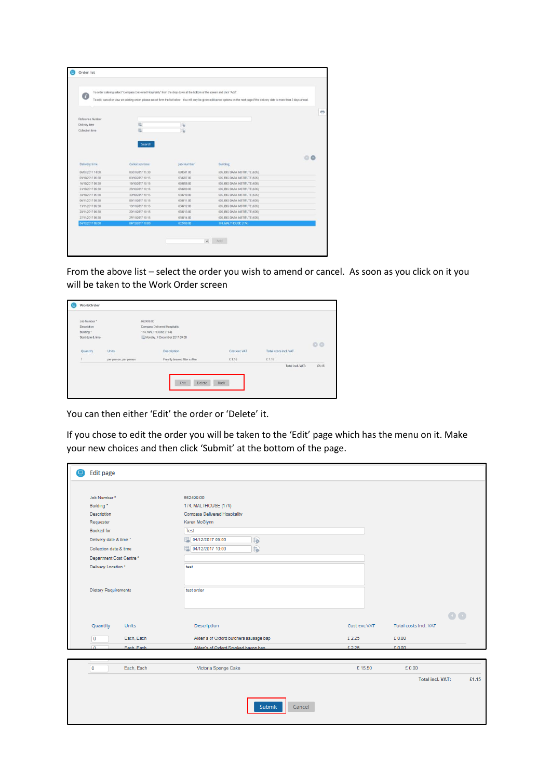| o                | To order catering select "Compass Delivered Hospitality" from the drop down at the bottom of the screen and click "Add". |                         | To edit, cancel or view an existing order, please select form the list below. You will only be given edit/cancel options on the next page if the delivery date is more than 2 days ahead. |  |
|------------------|--------------------------------------------------------------------------------------------------------------------------|-------------------------|-------------------------------------------------------------------------------------------------------------------------------------------------------------------------------------------|--|
|                  |                                                                                                                          |                         |                                                                                                                                                                                           |  |
| Reference Number |                                                                                                                          |                         |                                                                                                                                                                                           |  |
| Delivery time    | 眼                                                                                                                        | $\overline{\mathbf{b}}$ |                                                                                                                                                                                           |  |
| Collection time  | 孤                                                                                                                        | 16                      |                                                                                                                                                                                           |  |
|                  | <b>Search</b>                                                                                                            |                         |                                                                                                                                                                                           |  |
|                  |                                                                                                                          |                         |                                                                                                                                                                                           |  |
| Delivery time    | Collection time                                                                                                          | Job Number              | Building                                                                                                                                                                                  |  |
| 06/07/2017 14:00 | 06/07/2017 15:30                                                                                                         | 620841.00               | 605, BIG DATA INSTITUTE (605)                                                                                                                                                             |  |
| 09/10/2017 09:30 | 09/10/2017 10:15                                                                                                         | 658707.00               | 605, BIG DATA INSTITUTE (605)                                                                                                                                                             |  |
| 16/10/2017 09:30 | 16/10/2017 10:15                                                                                                         | 658708.00               | 605, BIG DATA INSTITUTE (605)                                                                                                                                                             |  |
| 23/10/2017 09:30 | 23/10/2017 10:15                                                                                                         | 658709.00               | 605, BIG DATA INSTITUTE (605)                                                                                                                                                             |  |
| 30/10/2017 09:30 | 30/10/2017 10:15                                                                                                         | 658710.00               | 605, BIG DATA INSTITUTE (605)                                                                                                                                                             |  |
| 06/11/2017 09:30 | 06/11/2017 10:15                                                                                                         | 658711.00               | 605, BIG DATA INSTITUTE (605)                                                                                                                                                             |  |
| 13/11/2017 09:30 | 13/11/2017 10:15                                                                                                         | 658712.00               | 605, BIG DATA INSTITUTE (605)                                                                                                                                                             |  |
| 20/11/2017 09:30 | 20/11/2017 10:15                                                                                                         | 658713.00               | 605, BIG DATA INSTITUTE (605)                                                                                                                                                             |  |
| 27/11/2017 09:30 | 27/11/2017 10:15                                                                                                         | 658714.00               | 605, BIG DATA INSTITUTE (605)                                                                                                                                                             |  |
| 04/12/2017 09:00 | 04/12/2017 10:00                                                                                                         | 662499.00               | 174, MALTHOUSE (174)                                                                                                                                                                      |  |

From the above list – select the order you wish to amend or cancel. As soon as you click on it you will be taken to the Work Order screen

| Job Number*       |                                                        | 662499.00                     |              |                       |                |
|-------------------|--------------------------------------------------------|-------------------------------|--------------|-----------------------|----------------|
| Description       |                                                        | Compass Delivered Hospitality |              |                       |                |
| Building*         |                                                        | 174, MALTHOUSE (174)          |              |                       |                |
| Start date & time |                                                        | Monday, 4 December 2017 09:00 |              |                       |                |
|                   |                                                        |                               |              |                       | O <sub>O</sub> |
| Quantity          | Units                                                  | Description                   | Cost exc VAT | Total costs incl. VAT |                |
| ï                 | <b>TANK CONTROLL COMPANY</b><br>per person, per person | Freshly brewed filter coffee  | £1.15        | £1.15                 |                |
|                   |                                                        |                               |              | Total incl. VAT:      | £1.15          |
|                   |                                                        |                               |              |                       |                |
|                   |                                                        |                               |              |                       |                |
|                   |                                                        | Delete<br>Edit                | Back         |                       |                |

You can then either 'Edit' the order or 'Delete' it.

If you chose to edit the order you will be taken to the 'Edit' page which has the menu on it. Make your new choices and then click 'Submit' at the bottom of the page.

| <b>Edit page</b>             |                                        |              |                         |         |
|------------------------------|----------------------------------------|--------------|-------------------------|---------|
| Job Number*                  | 662499.00                              |              |                         |         |
| Building *                   | 174, MALTHOUSE (174)                   |              |                         |         |
| Description                  | <b>Compass Delivered Hospitality</b>   |              |                         |         |
| Requester                    | Karen McGlynn                          |              |                         |         |
| Booked for                   | Test                                   |              |                         |         |
| Delivery date & time *       | 理 04/12/2017 09:00<br>肠                |              |                         |         |
| Collection date & time       | 04/12/2017 10:00<br>$F_{\bullet}$      |              |                         |         |
| Department Cost Centre *     |                                        |              |                         |         |
| Delivery Location *          | test                                   |              |                         |         |
|                              |                                        |              |                         |         |
|                              |                                        |              |                         |         |
| <b>Dietary Requirements</b>  | test order                             |              |                         |         |
|                              |                                        |              |                         |         |
|                              |                                        |              |                         |         |
|                              |                                        |              |                         | $\circ$ |
| Quantity<br>Units            | Description                            | Cost exc VAT | Total costs Incl. VAT   |         |
| Each, Each<br>O              | Alden's of Oxford butchers sausage bap | £2.25        | £0.00                   |         |
| Fach Fach<br>m               | Alden's of Oxford Smoked bacon han     | £2.25        | £0.00                   |         |
|                              |                                        |              |                         |         |
|                              |                                        |              |                         |         |
| Each, Each<br>$\overline{0}$ | Victoria Sponge Cake                   | £15.50       | £0.00                   |         |
|                              |                                        |              | <b>Total incl. VAT:</b> |         |
|                              |                                        |              |                         |         |
|                              |                                        |              |                         |         |
|                              | Submit<br>Cancel                       |              |                         |         |